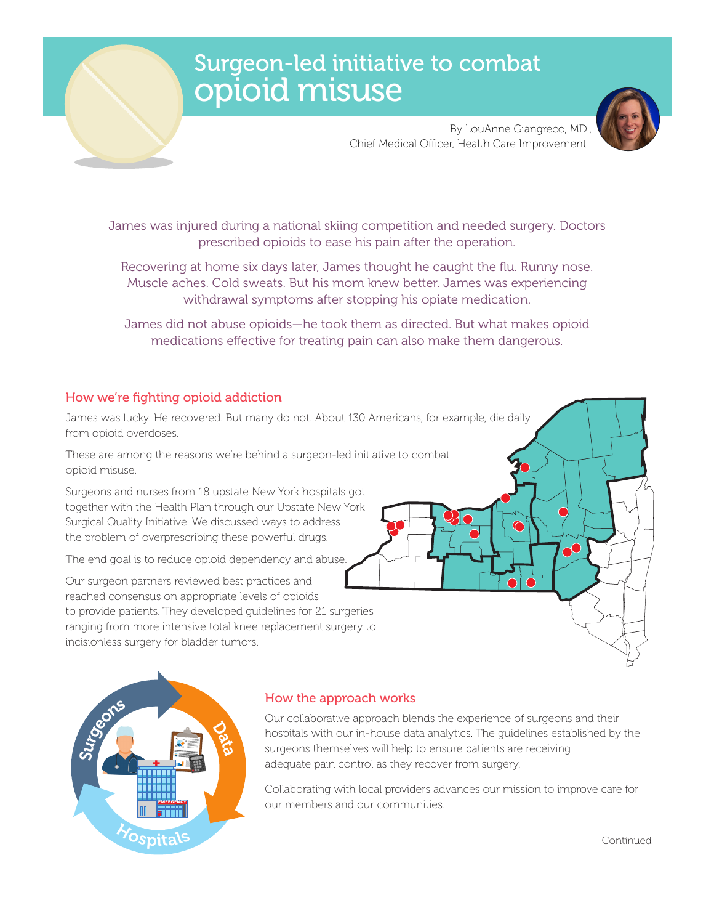# Surgeon-led initiative to combat opioid misuse



By LouAnne Giangreco, MD , Chief Medical Officer, Health Care Improvement

James was injured during a national skiing competition and needed surgery. Doctors prescribed opioids to ease his pain after the operation.

Recovering at home six days later, James thought he caught the flu. Runny nose. Muscle aches. Cold sweats. But his mom knew better. James was experiencing withdrawal symptoms after stopping his opiate medication.

James did not abuse opioids—he took them as directed. But what makes opioid medications effective for treating pain can also make them dangerous.

## How we're fighting opioid addiction

James was lucky. He recovered. But many do not. About 130 Americans, for example, die daily from opioid overdoses.

These are among the reasons we're behind a surgeon-led initiative to combat opioid misuse.

Surgeons and nurses from 18 upstate New York hospitals got together with the Health Plan through our Upstate New York Surgical Quality Initiative. We discussed ways to address the problem of overprescribing these powerful drugs.

The end goal is to reduce opioid dependency and abuse.

Our surgeon partners reviewed best practices and reached consensus on appropriate levels of opioids to provide patients. They developed guidelines for 21 surgeries ranging from more intensive total knee replacement surgery to incisionless surgery for bladder tumors.





### How the approach works

Our collaborative approach blends the experience of surgeons and their hospitals with our in-house data analytics. The guidelines established by the surgeons themselves will help to ensure patients are receiving adequate pain control as they recover from surgery.

Collaborating with local providers advances our mission to improve care for our members and our communities.